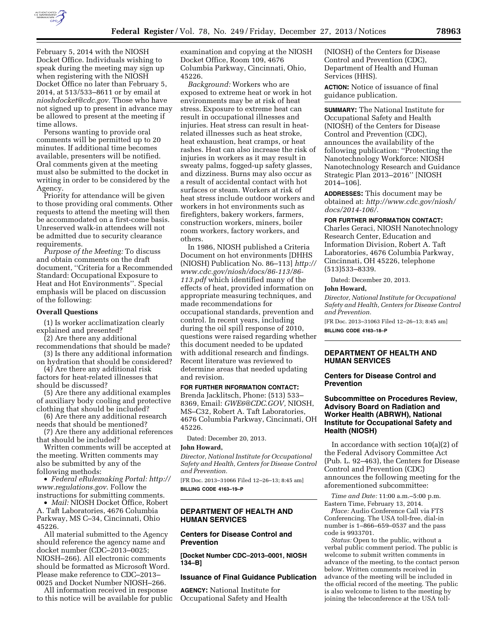

February 5, 2014 with the NIOSH Docket Office. Individuals wishing to speak during the meeting may sign up when registering with the NIOSH Docket Office no later than February 5, 2014, at 513/533–8611 or by email at *[nioshdocket@cdc.gov.](mailto:nioshdocket@cdc.gov)* Those who have not signed up to present in advance may be allowed to present at the meeting if time allows.

Persons wanting to provide oral comments will be permitted up to 20 minutes. If additional time becomes available, presenters will be notified. Oral comments given at the meeting must also be submitted to the docket in writing in order to be considered by the Agency.

Priority for attendance will be given to those providing oral comments. Other requests to attend the meeting will then be accommodated on a first-come basis. Unreserved walk-in attendees will not be admitted due to security clearance requirements.

*Purpose of the Meeting:* To discuss and obtain comments on the draft document, ''Criteria for a Recommended Standard: Occupational Exposure to Heat and Hot Environments''. Special emphasis will be placed on discussion of the following:

#### **Overall Questions**

(1) Is worker acclimatization clearly explained and presented?

(2) Are there any additional

recommendations that should be made? (3) Is there any additional information

on hydration that should be considered? (4) Are there any additional risk

factors for heat-related illnesses that should be discussed?

(5) Are there any additional examples of auxiliary body cooling and protective clothing that should be included?

(6) Are there any additional research needs that should be mentioned?

(7) Are there any additional references that should be included?

Written comments will be accepted at the meeting. Written comments may also be submitted by any of the following methods:

• *Federal eRulemaking Portal: [http://](http://www.regulations.gov)  [www.regulations.gov](http://www.regulations.gov)*. Follow the instructions for submitting comments.

• *Mail:* NIOSH Docket Office, Robert A. Taft Laboratories, 4676 Columbia Parkway, MS C–34, Cincinnati, Ohio 45226.

All material submitted to the Agency should reference the agency name and docket number (CDC–2013–0025; NIOSH–266). All electronic comments should be formatted as Microsoft Word. Please make reference to CDC–2013– 0025 and Docket Number NIOSH–266.

All information received in response to this notice will be available for public examination and copying at the NIOSH Docket Office, Room 109, 4676 Columbia Parkway, Cincinnati, Ohio, 45226.

*Background:* Workers who are exposed to extreme heat or work in hot environments may be at risk of heat stress. Exposure to extreme heat can result in occupational illnesses and injuries. Heat stress can result in heatrelated illnesses such as heat stroke, heat exhaustion, heat cramps, or heat rashes. Heat can also increase the risk of injuries in workers as it may result in sweaty palms, fogged-up safety glasses, and dizziness. Burns may also occur as a result of accidental contact with hot surfaces or steam. Workers at risk of heat stress include outdoor workers and workers in hot environments such as firefighters, bakery workers, farmers, construction workers, miners, boiler room workers, factory workers, and others.

In 1986, NIOSH published a Criteria Document on hot environments [DHHS (NIOSH) Publication No. 86–113] *[http://](http://www.cdc.gov/niosh/docs/86-113/86-113.pdf)  [www.cdc.gov/niosh/docs/86-113/86-](http://www.cdc.gov/niosh/docs/86-113/86-113.pdf) [113.pdf](http://www.cdc.gov/niosh/docs/86-113/86-113.pdf)* which identified many of the effects of heat, provided information on appropriate measuring techniques, and made recommendations for occupational standards, prevention and control. In recent years, including during the oil spill response of 2010, questions were raised regarding whether this document needed to be updated with additional research and findings. Recent literature was reviewed to determine areas that needed updating and revision.

#### **FOR FURTHER INFORMATION CONTACT:**

Brenda Jacklitsch, Phone: (513) 533– 8369, Email: *[GWE6@CDC.GOV,](mailto:GWE6@CDC.GOV)* NIOSH, MS–C32, Robert A. Taft Laboratories, 4676 Columbia Parkway, Cincinnati, OH 45226.

Dated: December 20, 2013.

#### **John Howard,**

*Director, National Institute for Occupational Safety and Health, Centers for Disease Control and Prevention.* 

[FR Doc. 2013–31066 Filed 12–26–13; 8:45 am] **BILLING CODE 4163–19–P** 

# **DEPARTMENT OF HEALTH AND HUMAN SERVICES**

## **Centers for Disease Control and Prevention**

**[Docket Number CDC–2013–0001, NIOSH 134–B]** 

## **Issuance of Final Guidance Publication**

**AGENCY:** National Institute for Occupational Safety and Health

(NIOSH) of the Centers for Disease Control and Prevention (CDC), Department of Health and Human Services (HHS).

**ACTION:** Notice of issuance of final guidance publication.

**SUMMARY:** The National Institute for Occupational Safety and Health (NIOSH) of the Centers for Disease Control and Prevention (CDC), announces the availability of the following publication: ''Protecting the Nanotechnology Workforce: NIOSH Nanotechnology Research and Guidance Strategic Plan 2013–2016'' [NIOSH 2014–106].

**ADDRESSES:** This document may be obtained at: *[http://www.cdc.gov/niosh/](http://www.cdc.gov/niosh/docs/2014-106/) [docs/2014-106/.](http://www.cdc.gov/niosh/docs/2014-106/)* 

#### **FOR FURTHER INFORMATION CONTACT:**

Charles Geraci, NIOSH Nanotechnology Research Center, Education and Information Division, Robert A. Taft Laboratories, 4676 Columbia Parkway, Cincinnati, OH 45226, telephone (513)533–8339.

Dated: December 20, 2013.

#### **John Howard,**

*Director, National Institute for Occupational Safety and Health, Centers for Disease Control and Prevention.* 

[FR Doc. 2013–31063 Filed 12–26–13; 8:45 am] **BILLING CODE 4163–18–P** 

## **DEPARTMENT OF HEALTH AND HUMAN SERVICES**

## **Centers for Disease Control and Prevention**

## **Subcommittee on Procedures Review, Advisory Board on Radiation and Worker Health (ABRWH), National Institute for Occupational Safety and Health (NIOSH)**

In accordance with section 10(a)(2) of the Federal Advisory Committee Act (Pub. L. 92–463), the Centers for Disease Control and Prevention (CDC) announces the following meeting for the aforementioned subcommittee:

*Time and Date:* 11:00 a.m.–5:00 p.m. Eastern Time, February 13, 2014.

*Place:* Audio Conference Call via FTS Conferencing. The USA toll-free, dial-in number is 1–866–659–0537 and the pass code is 9933701.

*Status:* Open to the public, without a verbal public comment period. The public is welcome to submit written comments in advance of the meeting, to the contact person below. Written comments received in advance of the meeting will be included in the official record of the meeting. The public is also welcome to listen to the meeting by joining the teleconference at the USA toll